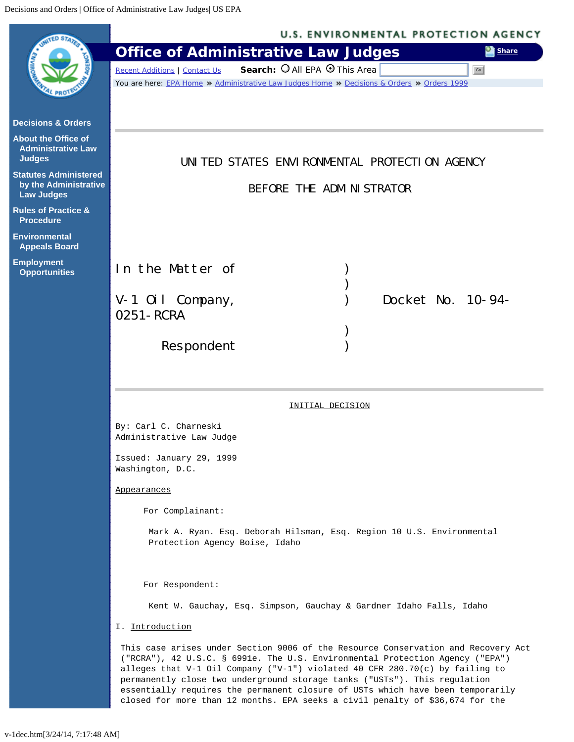<span id="page-0-0"></span>

|                                                                            | <b>U.S. ENVIRONMENTAL PROTECTION AGENCY</b>                                                                                                                                                                                                                                                                                                                                                                                                                                                        |
|----------------------------------------------------------------------------|----------------------------------------------------------------------------------------------------------------------------------------------------------------------------------------------------------------------------------------------------------------------------------------------------------------------------------------------------------------------------------------------------------------------------------------------------------------------------------------------------|
|                                                                            | <b>Office of Administrative Law Judges</b><br><b>Share</b>                                                                                                                                                                                                                                                                                                                                                                                                                                         |
|                                                                            | Search: O All EPA O This Area<br>Go<br><b>Recent Additions   Contact Us</b>                                                                                                                                                                                                                                                                                                                                                                                                                        |
|                                                                            | You are here: EPA Home * Administrative Law Judges Home * Decisions & Orders * Orders 1999                                                                                                                                                                                                                                                                                                                                                                                                         |
| <b>Decisions &amp; Orders</b>                                              |                                                                                                                                                                                                                                                                                                                                                                                                                                                                                                    |
| <b>About the Office of</b><br><b>Administrative Law</b><br><b>Judges</b>   | UNITED STATES ENVIRONMENTAL PROTECTION AGENCY                                                                                                                                                                                                                                                                                                                                                                                                                                                      |
| <b>Statutes Administered</b><br>by the Administrative<br><b>Law Judges</b> | BEFORE THE ADMINISTRATOR                                                                                                                                                                                                                                                                                                                                                                                                                                                                           |
| <b>Rules of Practice &amp;</b><br><b>Procedure</b>                         |                                                                                                                                                                                                                                                                                                                                                                                                                                                                                                    |
| <b>Environmental</b><br><b>Appeals Board</b>                               |                                                                                                                                                                                                                                                                                                                                                                                                                                                                                                    |
| <b>Employment</b><br><b>Opportunities</b>                                  | In the Matter of                                                                                                                                                                                                                                                                                                                                                                                                                                                                                   |
|                                                                            | Docket No. 10-94-<br>$V-1$ Oil Company,                                                                                                                                                                                                                                                                                                                                                                                                                                                            |
|                                                                            | 0251 - RCRA                                                                                                                                                                                                                                                                                                                                                                                                                                                                                        |
|                                                                            |                                                                                                                                                                                                                                                                                                                                                                                                                                                                                                    |
|                                                                            | Respondent                                                                                                                                                                                                                                                                                                                                                                                                                                                                                         |
|                                                                            |                                                                                                                                                                                                                                                                                                                                                                                                                                                                                                    |
|                                                                            |                                                                                                                                                                                                                                                                                                                                                                                                                                                                                                    |
|                                                                            | INITIAL DECISION                                                                                                                                                                                                                                                                                                                                                                                                                                                                                   |
|                                                                            | By: Carl C. Charneski<br>Administrative Law Judge                                                                                                                                                                                                                                                                                                                                                                                                                                                  |
|                                                                            | Issued: January 29, 1999<br>Washington, D.C.                                                                                                                                                                                                                                                                                                                                                                                                                                                       |
|                                                                            | <u>Appearances</u>                                                                                                                                                                                                                                                                                                                                                                                                                                                                                 |
|                                                                            | For Complainant:                                                                                                                                                                                                                                                                                                                                                                                                                                                                                   |
|                                                                            | Mark A. Ryan. Esq. Deborah Hilsman, Esq. Region 10 U.S. Environmental<br>Protection Agency Boise, Idaho                                                                                                                                                                                                                                                                                                                                                                                            |
|                                                                            | For Respondent:                                                                                                                                                                                                                                                                                                                                                                                                                                                                                    |
|                                                                            | Kent W. Gauchay, Esq. Simpson, Gauchay & Gardner Idaho Falls, Idaho                                                                                                                                                                                                                                                                                                                                                                                                                                |
|                                                                            | I. Introduction                                                                                                                                                                                                                                                                                                                                                                                                                                                                                    |
|                                                                            | This case arises under Section 9006 of the Resource Conservation and Recovery Act<br>("RCRA"), 42 U.S.C. § 6991e. The U.S. Environmental Protection Agency ("EPA")<br>alleges that V-1 Oil Company ("V-1") violated 40 CFR 280.70(c) by failing to<br>permanently close two underground storage tanks ("USTs"). This regulation<br>essentially requires the permanent closure of USTs which have been temporarily<br>closed for more than 12 months. EPA seeks a civil penalty of \$36,674 for the |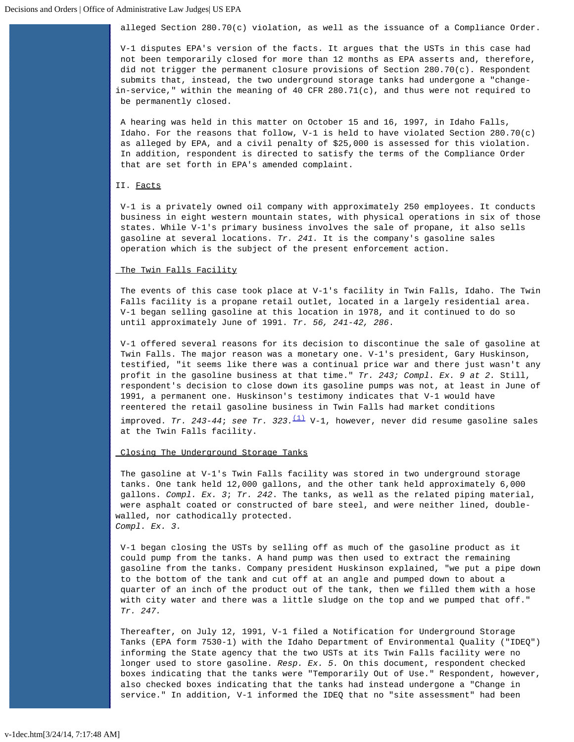alleged Section 280.70(c) violation, as well as the issuance of a Compliance Order.

V-1 disputes EPA's version of the facts. It argues that the USTs in this case had not been temporarily closed for more than 12 months as EPA asserts and, therefore, did not trigger the permanent closure provisions of Section 280.70(c). Respondent submits that, instead, the two underground storage tanks had undergone a "changein-service," within the meaning of 40 CFR  $280.71(c)$ , and thus were not required to be permanently closed.

A hearing was held in this matter on October 15 and 16, 1997, in Idaho Falls, Idaho. For the reasons that follow, V-1 is held to have violated Section 280.70(c) as alleged by EPA, and a civil penalty of \$25,000 is assessed for this violation. In addition, respondent is directed to satisfy the terms of the Compliance Order that are set forth in EPA's amended complaint.

# II. Facts

V-1 is a privately owned oil company with approximately 250 employees. It conducts business in eight western mountain states, with physical operations in six of those states. While V-1's primary business involves the sale of propane, it also sells gasoline at several locations. *Tr. 241.* It is the company's gasoline sales operation which is the subject of the present enforcement action.

## The Twin Falls Facility

The events of this case took place at V-1's facility in Twin Falls, Idaho. The Twin Falls facility is a propane retail outlet, located in a largely residential area. V-1 began selling gasoline at this location in 1978, and it continued to do so until approximately June of 1991. *Tr. 56, 241-42, 286*.

V-1 offered several reasons for its decision to discontinue the sale of gasoline at Twin Falls. The major reason was a monetary one. V-1's president, Gary Huskinson, testified, "it seems like there was a continual price war and there just wasn't any profit in the gasoline business at that time." *Tr. 243; Compl. Ex. 9 at 2.* Still, respondent's decision to close down its gasoline pumps was not, at least in June of 1991, a permanent one. Huskinson's testimony indicates that V-1 would have reentered the retail gasoline business in Twin Falls had market conditions

 improved. *Tr. 243-44*; *see Tr. 323.*[\(1\)](#page-9-0) V-1, however, never did resume gasoline sales at the Twin Falls facility.

### Closing The Underground Storage Tanks

The gasoline at V-1's Twin Falls facility was stored in two underground storage tanks. One tank held 12,000 gallons, and the other tank held approximately 6,000 gallons. *Compl. Ex. 3*; *Tr. 242*. The tanks, as well as the related piping material, were asphalt coated or constructed of bare steel, and were neither lined, doublewalled, nor cathodically protected. *Compl. Ex. 3.*

V-1 began closing the USTs by selling off as much of the gasoline product as it could pump from the tanks. A hand pump was then used to extract the remaining gasoline from the tanks. Company president Huskinson explained, "we put a pipe down to the bottom of the tank and cut off at an angle and pumped down to about a quarter of an inch of the product out of the tank, then we filled them with a hose with city water and there was a little sludge on the top and we pumped that off." *Tr. 247.*

Thereafter, on July 12, 1991, V-1 filed a Notification for Underground Storage Tanks (EPA form 7530-1) with the Idaho Department of Environmental Quality ("IDEQ") informing the State agency that the two USTs at its Twin Falls facility were no longer used to store gasoline. *Resp. Ex. 5.* On this document, respondent checked boxes indicating that the tanks were "Temporarily Out of Use." Respondent, however, also checked boxes indicating that the tanks had instead undergone a "Change in service." In addition, V-1 informed the IDEQ that no "site assessment" had been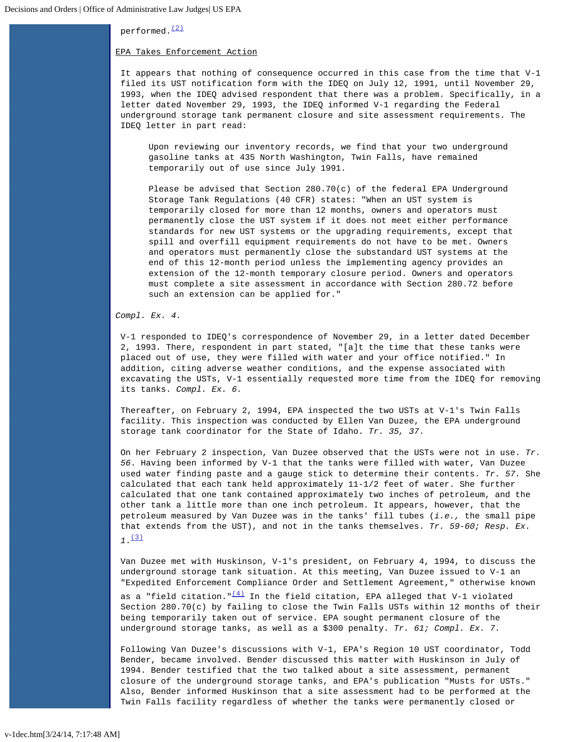performed.<sup>[\(2\)](#page-9-1)</sup>

# EPA Takes Enforcement Action

It appears that nothing of consequence occurred in this case from the time that V-1 filed its UST notification form with the IDEQ on July 12, 1991, until November 29, 1993, when the IDEQ advised respondent that there was a problem. Specifically, in a letter dated November 29, 1993, the IDEQ informed V-1 regarding the Federal underground storage tank permanent closure and site assessment requirements. The IDEQ letter in part read:

Upon reviewing our inventory records, we find that your two underground gasoline tanks at 435 North Washington, Twin Falls, have remained temporarily out of use since July 1991.

Please be advised that Section 280.70(c) of the federal EPA Underground Storage Tank Regulations (40 CFR) states: "When an UST system is temporarily closed for more than 12 months, owners and operators must permanently close the UST system if it does not meet either performance standards for new UST systems or the upgrading requirements, except that spill and overfill equipment requirements do not have to be met. Owners and operators must permanently close the substandard UST systems at the end of this 12-month period unless the implementing agency provides an extension of the 12-month temporary closure period. Owners and operators must complete a site assessment in accordance with Section 280.72 before such an extension can be applied for."

*Compl. Ex. 4.*

V-1 responded to IDEQ's correspondence of November 29, in a letter dated December 2, 1993. There, respondent in part stated, "[a]t the time that these tanks were placed out of use, they were filled with water and your office notified." In addition, citing adverse weather conditions, and the expense associated with excavating the USTs, V-1 essentially requested more time from the IDEQ for removing its tanks. *Compl. Ex. 6.*

Thereafter, on February 2, 1994, EPA inspected the two USTs at V-1's Twin Falls facility. This inspection was conducted by Ellen Van Duzee, the EPA underground storage tank coordinator for the State of Idaho. *Tr. 35, 37*.

On her February 2 inspection, Van Duzee observed that the USTs were not in use. *Tr. 56*. Having been informed by V-1 that the tanks were filled with water, Van Duzee used water finding paste and a gauge stick to determine their contents. *Tr. 57.* She calculated that each tank held approximately 11-1/2 feet of water. She further calculated that one tank contained approximately two inches of petroleum, and the other tank a little more than one inch petroleum. It appears, however, that the petroleum measured by Van Duzee was in the tanks' fill tubes (*i.e.,* the small pipe that extends from the UST), and not in the tanks themselves. *Tr. 59-60; Resp. Ex.*  $7.$ [\(3\)](#page-9-2)

Van Duzee met with Huskinson, V-1's president, on February 4, 1994, to discuss the underground storage tank situation. At this meeting, Van Duzee issued to V-1 an "Expedited Enforcement Compliance Order and Settlement Agreement," otherwise known as a "field citation." $\frac{(4)}{1}$  $\frac{(4)}{1}$  $\frac{(4)}{1}$  In the field citation, EPA alleged that V-1 violated Section 280.70(c) by failing to close the Twin Falls USTs within 12 months of their being temporarily taken out of service. EPA sought permanent closure of the underground storage tanks, as well as a \$300 penalty. *Tr. 61; Compl. Ex. 7.*

Following Van Duzee's discussions with V-1, EPA's Region 10 UST coordinator, Todd Bender, became involved. Bender discussed this matter with Huskinson in July of 1994. Bender testified that the two talked about a site assessment, permanent closure of the underground storage tanks, and EPA's publication "Musts for USTs." Also, Bender informed Huskinson that a site assessment had to be performed at the Twin Falls facility regardless of whether the tanks were permanently closed or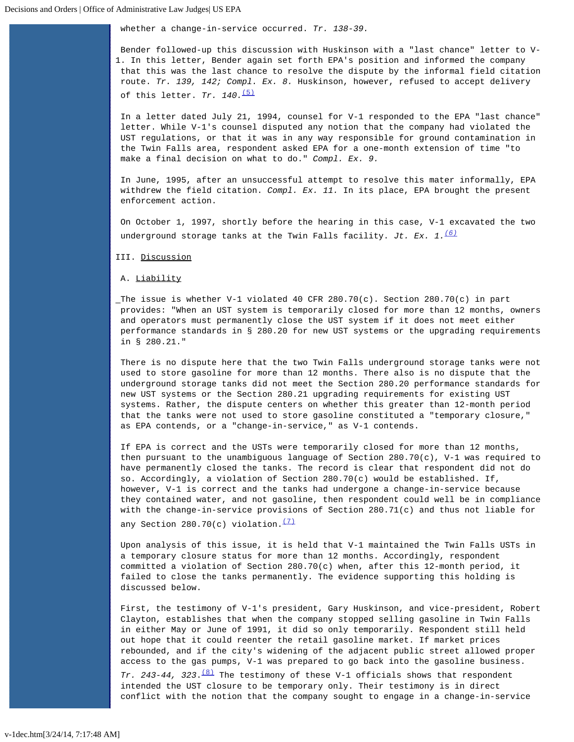whether a change-in-service occurred. *Tr. 138-39.*

Bender followed-up this discussion with Huskinson with a "last chance" letter to V-1. In this letter, Bender again set forth EPA's position and informed the company that this was the last chance to resolve the dispute by the informal field citation route. *Tr. 139, 142; Compl. Ex. 8.* Huskinson, however, refused to accept delivery of this letter. *Tr.* 140. [\(5\)](#page-9-4)

In a letter dated July 21, 1994, counsel for V-1 responded to the EPA "last chance" letter. While V-1's counsel disputed any notion that the company had violated the UST regulations, or that it was in any way responsible for ground contamination in the Twin Falls area, respondent asked EPA for a one-month extension of time "to make a final decision on what to do." *Compl. Ex. 9.*

In June, 1995, after an unsuccessful attempt to resolve this mater informally, EPA withdrew the field citation. *Compl. Ex. 11.* In its place, EPA brought the present enforcement action.

On October 1, 1997, shortly before the hearing in this case, V-1 excavated the two underground storage tanks at the Twin Falls facility. *Jt. Ex. 1.[\(6\)](#page-9-5)*

III. Discussion

A. Liability

The issue is whether V-1 violated 40 CFR 280.70(c). Section 280.70(c) in part provides: "When an UST system is temporarily closed for more than 12 months, owners and operators must permanently close the UST system if it does not meet either performance standards in § 280.20 for new UST systems or the upgrading requirements in § 280.21."

There is no dispute here that the two Twin Falls underground storage tanks were not used to store gasoline for more than 12 months. There also is no dispute that the underground storage tanks did not meet the Section 280.20 performance standards for new UST systems or the Section 280.21 upgrading requirements for existing UST systems. Rather, the dispute centers on whether this greater than 12-month period that the tanks were not used to store gasoline constituted a "temporary closure," as EPA contends, or a "change-in-service," as V-1 contends.

If EPA is correct and the USTs were temporarily closed for more than 12 months, then pursuant to the unambiguous language of Section 280.70(c), V-1 was required to have permanently closed the tanks. The record is clear that respondent did not do so. Accordingly, a violation of Section 280.70(c) would be established. If, however, V-1 is correct and the tanks had undergone a change-in-service because they contained water, and not gasoline, then respondent could well be in compliance with the change-in-service provisions of Section 280.71(c) and thus not liable for any Section 280.70(c) violation. $\frac{(7)}{2}$  $\frac{(7)}{2}$  $\frac{(7)}{2}$ 

Upon analysis of this issue, it is held that V-1 maintained the Twin Falls USTs in a temporary closure status for more than 12 months. Accordingly, respondent committed a violation of Section 280.70(c) when, after this 12-month period, it failed to close the tanks permanently. The evidence supporting this holding is discussed below.

First, the testimony of V-1's president, Gary Huskinson, and vice-president, Robert Clayton, establishes that when the company stopped selling gasoline in Twin Falls in either May or June of 1991, it did so only temporarily. Respondent still held out hope that it could reenter the retail gasoline market. If market prices rebounded, and if the city's widening of the adjacent public street allowed proper access to the gas pumps, V-1 was prepared to go back into the gasoline business. *Tr. 243-44, 323*[.\(8\)](#page-10-0) The testimony of these V-1 officials shows that respondent intended the UST closure to be temporary only. Their testimony is in direct

conflict with the notion that the company sought to engage in a change-in-service

v-1dec.htm[3/24/14, 7:17:48 AM]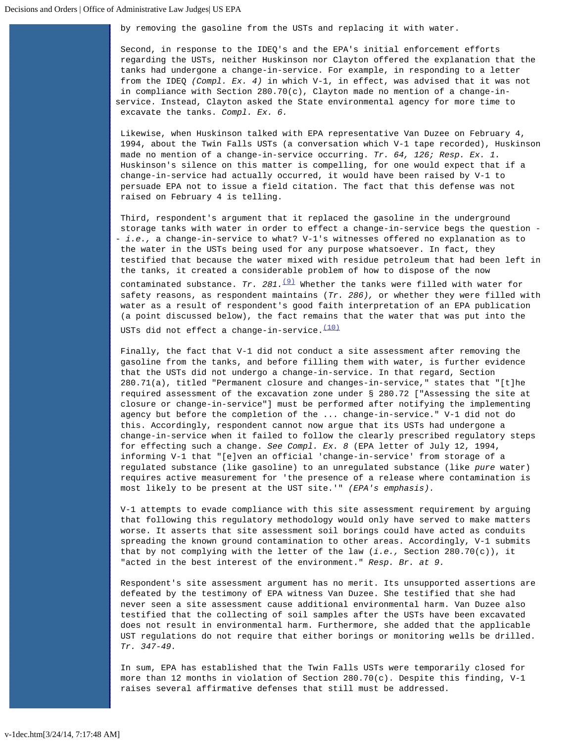by removing the gasoline from the USTs and replacing it with water.

Second, in response to the IDEQ's and the EPA's initial enforcement efforts regarding the USTs, neither Huskinson nor Clayton offered the explanation that the tanks had undergone a change-in-service. For example, in responding to a letter from the IDEQ *(Compl. Ex. 4)* in which V-1, in effect, was advised that it was not in compliance with Section 280.70(c), Clayton made no mention of a change-inservice. Instead, Clayton asked the State environmental agency for more time to excavate the tanks. *Compl. Ex. 6.*

Likewise, when Huskinson talked with EPA representative Van Duzee on February 4, 1994, about the Twin Falls USTs (a conversation which V-1 tape recorded), Huskinson made no mention of a change-in-service occurring. *Tr. 64, 126; Resp. Ex. 1.* Huskinson's silence on this matter is compelling, for one would expect that if a change-in-service had actually occurred, it would have been raised by V-1 to persuade EPA not to issue a field citation. The fact that this defense was not raised on February 4 is telling.

Third, respondent's argument that it replaced the gasoline in the underground storage tanks with water in order to effect a change-in-service begs the question - - *i.e.,* a change-in-service to what? V-1's witnesses offered no explanation as to the water in the USTs being used for any purpose whatsoever. In fact, they testified that because the water mixed with residue petroleum that had been left in the tanks, it created a considerable problem of how to dispose of the now contaminated substance. *Tr. 281.*<sup>[\(9\)](#page-10-1)</sup> Whether the tanks were filled with water for safety reasons, as respondent maintains (*Tr. 286),* or whether they were filled with water as a result of respondent's good faith interpretation of an EPA publication (a point discussed below), the fact remains that the water that was put into the

USTs did not effect a change-in-service. $\frac{(10)}{(10)}$  $\frac{(10)}{(10)}$  $\frac{(10)}{(10)}$ 

Finally, the fact that V-1 did not conduct a site assessment after removing the gasoline from the tanks, and before filling them with water, is further evidence that the USTs did not undergo a change-in-service. In that regard, Section 280.71(a), titled "Permanent closure and changes-in-service," states that "[t]he required assessment of the excavation zone under § 280.72 ["Assessing the site at closure or change-in-service"] must be performed after notifying the implementing agency but before the completion of the ... change-in-service." V-1 did not do this. Accordingly, respondent cannot now argue that its USTs had undergone a change-in-service when it failed to follow the clearly prescribed regulatory steps for effecting such a change. *See Compl. Ex. 8* (EPA letter of July 12, 1994, informing V-1 that "[e]ven an official 'change-in-service' from storage of a regulated substance (like gasoline) to an unregulated substance (like *pure* water) requires active measurement for 'the presence of a release where contamination is most likely to be present at the UST site.'" *(EPA's emphasis).*

V-1 attempts to evade compliance with this site assessment requirement by arguing that following this regulatory methodology would only have served to make matters worse. It asserts that site assessment soil borings could have acted as conduits spreading the known ground contamination to other areas. Accordingly, V-1 submits that by not complying with the letter of the law (*i.e.,* Section 280.70(c)), it "acted in the best interest of the environment." *Resp. Br. at 9.*

Respondent's site assessment argument has no merit. Its unsupported assertions are defeated by the testimony of EPA witness Van Duzee. She testified that she had never seen a site assessment cause additional environmental harm. Van Duzee also testified that the collecting of soil samples after the USTs have been excavated does not result in environmental harm. Furthermore, she added that the applicable UST regulations do not require that either borings or monitoring wells be drilled. *Tr. 347-49.*

In sum, EPA has established that the Twin Falls USTs were temporarily closed for more than 12 months in violation of Section 280.70(c). Despite this finding, V-1 raises several affirmative defenses that still must be addressed.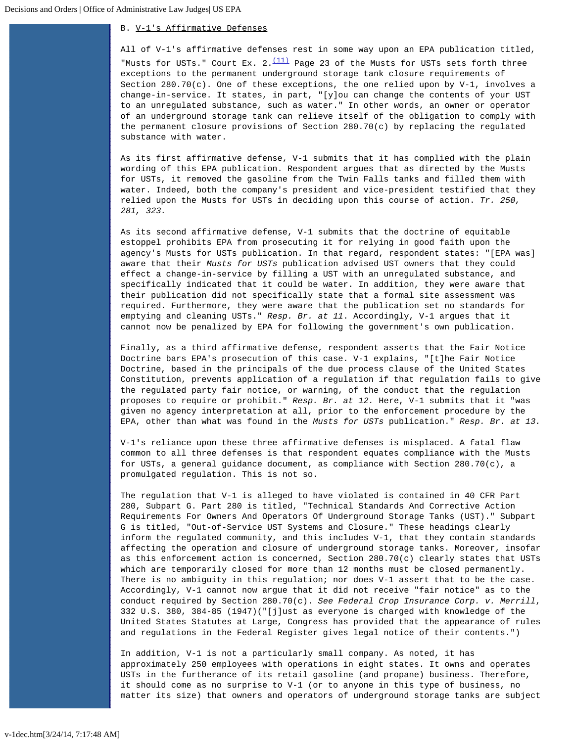# B. V-1's Affirmative Defenses

All of V-1's affirmative defenses rest in some way upon an EPA publication titled, "Musts for USTs." Court Ex.  $2.\frac{(11)}{2}$  $2.\frac{(11)}{2}$  $2.\frac{(11)}{2}$  Page 23 of the Musts for USTs sets forth three exceptions to the permanent underground storage tank closure requirements of Section 280.70(c). One of these exceptions, the one relied upon by V-1, involves a change-in-service. It states, in part, "[y]ou can change the contents of your UST to an unregulated substance, such as water." In other words, an owner or operator of an underground storage tank can relieve itself of the obligation to comply with the permanent closure provisions of Section 280.70(c) by replacing the regulated substance with water.

As its first affirmative defense, V-1 submits that it has complied with the plain wording of this EPA publication. Respondent argues that as directed by the Musts for USTs, it removed the gasoline from the Twin Falls tanks and filled them with water. Indeed, both the company's president and vice-president testified that they relied upon the Musts for USTs in deciding upon this course of action. *Tr. 250, 281, 323.*

As its second affirmative defense, V-1 submits that the doctrine of equitable estoppel prohibits EPA from prosecuting it for relying in good faith upon the agency's Musts for USTs publication. In that regard, respondent states: "[EPA was] aware that their *Musts for USTs* publication advised UST owners that they could effect a change-in-service by filling a UST with an unregulated substance, and specifically indicated that it could be water. In addition, they were aware that their publication did not specifically state that a formal site assessment was required. Furthermore, they were aware that the publication set no standards for emptying and cleaning USTs." *Resp. Br. at 11*. Accordingly, V-1 argues that it cannot now be penalized by EPA for following the government's own publication.

Finally, as a third affirmative defense, respondent asserts that the Fair Notice Doctrine bars EPA's prosecution of this case. V-1 explains, "[t]he Fair Notice Doctrine, based in the principals of the due process clause of the United States Constitution, prevents application of a regulation if that regulation fails to give the regulated party fair notice, or warning, of the conduct that the regulation proposes to require or prohibit." *Resp. Br. at 12.* Here, V-1 submits that it "was given no agency interpretation at all, prior to the enforcement procedure by the EPA, other than what was found in the *Musts for USTs* publication." *Resp. Br. at 13.*

V-1's reliance upon these three affirmative defenses is misplaced. A fatal flaw common to all three defenses is that respondent equates compliance with the Musts for USTs, a general guidance document, as compliance with Section 280.70(c), a promulgated regulation. This is not so.

The regulation that V-1 is alleged to have violated is contained in 40 CFR Part 280, Subpart G. Part 280 is titled, "Technical Standards And Corrective Action Requirements For Owners And Operators Of Underground Storage Tanks (UST)." Subpart G is titled, "Out-of-Service UST Systems and Closure." These headings clearly inform the regulated community, and this includes V-1, that they contain standards affecting the operation and closure of underground storage tanks. Moreover, insofar as this enforcement action is concerned, Section 280.70(c) clearly states that USTs which are temporarily closed for more than 12 months must be closed permanently. There is no ambiguity in this regulation; nor does V-1 assert that to be the case. Accordingly, V-1 cannot now argue that it did not receive "fair notice" as to the conduct required by Section 280.70(c). *See Federal Crop Insurance Corp. v. Merrill*, 332 U.S. 380, 384-85 (1947)("[j]ust as everyone is charged with knowledge of the United States Statutes at Large, Congress has provided that the appearance of rules and regulations in the Federal Register gives legal notice of their contents.")

In addition, V-1 is not a particularly small company. As noted, it has approximately 250 employees with operations in eight states. It owns and operates USTs in the furtherance of its retail gasoline (and propane) business. Therefore, it should come as no surprise to V-1 (or to anyone in this type of business, no matter its size) that owners and operators of underground storage tanks are subject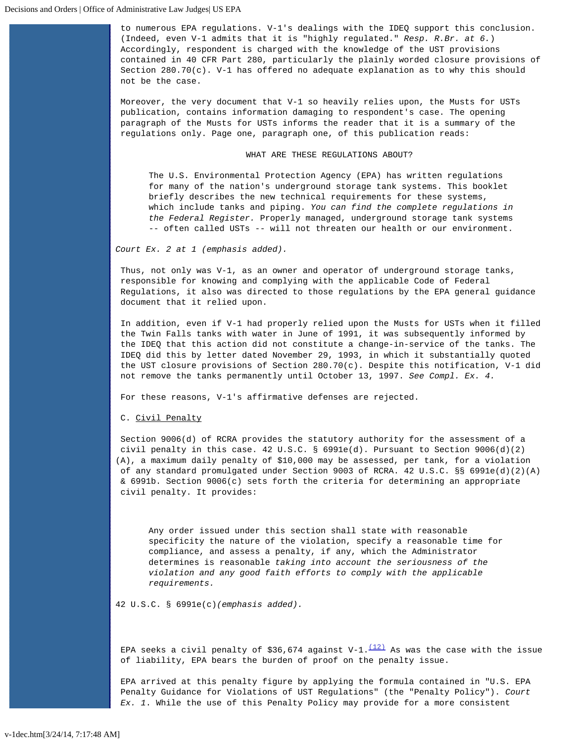to numerous EPA regulations. V-1's dealings with the IDEQ support this conclusion. (Indeed, even V-1 admits that it is "highly regulated." *Resp. R.Br. at 6.*) Accordingly, respondent is charged with the knowledge of the UST provisions contained in 40 CFR Part 280, particularly the plainly worded closure provisions of Section 280.70(c). V-1 has offered no adequate explanation as to why this should not be the case.

Moreover, the very document that V-1 so heavily relies upon, the Musts for USTs publication, contains information damaging to respondent's case. The opening paragraph of the Musts for USTs informs the reader that it is a summary of the regulations only. Page one, paragraph one, of this publication reads:

### WHAT ARE THESE REGULATIONS ABOUT?

The U.S. Environmental Protection Agency (EPA) has written regulations for many of the nation's underground storage tank systems. This booklet briefly describes the new technical requirements for these systems, which include tanks and piping. *You can find the complete regulations in the Federal Register.* Properly managed, underground storage tank systems -- often called USTs -- will not threaten our health or our environment.

*Court Ex. 2 at 1 (emphasis added).*

Thus, not only was V-1, as an owner and operator of underground storage tanks, responsible for knowing and complying with the applicable Code of Federal Regulations, it also was directed to those regulations by the EPA general guidance document that it relied upon.

In addition, even if V-1 had properly relied upon the Musts for USTs when it filled the Twin Falls tanks with water in June of 1991, it was subsequently informed by the IDEQ that this action did not constitute a change-in-service of the tanks. The IDEQ did this by letter dated November 29, 1993, in which it substantially quoted the UST closure provisions of Section 280.70(c). Despite this notification, V-1 did not remove the tanks permanently until October 13, 1997. *See Compl. Ex. 4.*

For these reasons, V-1's affirmative defenses are rejected.

C. Civil Penalty

Section 9006(d) of RCRA provides the statutory authority for the assessment of a civil penalty in this case.  $42 \text{ U.S.C. }$  §  $6991e(d)$ . Pursuant to Section  $9006(d)(2)$ (A), a maximum daily penalty of \$10,000 may be assessed, per tank, for a violation of any standard promulgated under Section 9003 of RCRA. 42 U.S.C. §§ 6991e(d)(2)(A) & 6991b. Section 9006(c) sets forth the criteria for determining an appropriate civil penalty. It provides:

Any order issued under this section shall state with reasonable specificity the nature of the violation, specify a reasonable time for compliance, and assess a penalty, if any, which the Administrator determines is reasonable *taking into account the seriousness of the violation and any good faith efforts to comply with the applicable requirements.*

42 U.S.C. § 6991e(c)*(emphasis added).*

EPA seeks a civil penalty of \$36,674 against V-1. $\frac{(12)}{2}$  $\frac{(12)}{2}$  $\frac{(12)}{2}$  As was the case with the issue of liability, EPA bears the burden of proof on the penalty issue.

EPA arrived at this penalty figure by applying the formula contained in "U.S. EPA Penalty Guidance for Violations of UST Regulations" (the "Penalty Policy"). *Court Ex. 1*. While the use of this Penalty Policy may provide for a more consistent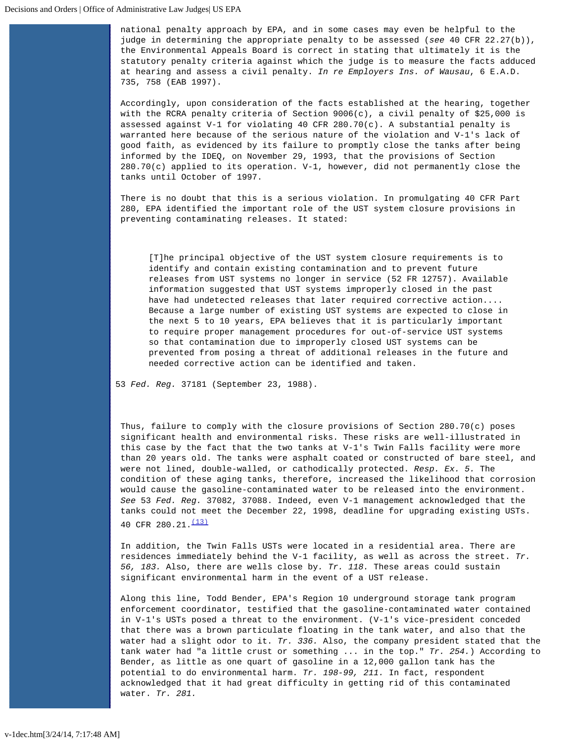national penalty approach by EPA, and in some cases may even be helpful to the judge in determining the appropriate penalty to be assessed (*see* 40 CFR 22.27(b)), the Environmental Appeals Board is correct in stating that ultimately it is the statutory penalty criteria against which the judge is to measure the facts adduced at hearing and assess a civil penalty. *In re Employers Ins. of Wausau*, 6 E.A.D. 735, 758 (EAB 1997).

Accordingly, upon consideration of the facts established at the hearing, together with the RCRA penalty criteria of Section 9006(c), a civil penalty of \$25,000 is assessed against V-1 for violating 40 CFR 280.70(c). A substantial penalty is warranted here because of the serious nature of the violation and V-1's lack of good faith, as evidenced by its failure to promptly close the tanks after being informed by the IDEQ, on November 29, 1993, that the provisions of Section 280.70(c) applied to its operation. V-1, however, did not permanently close the tanks until October of 1997.

There is no doubt that this is a serious violation. In promulgating 40 CFR Part 280, EPA identified the important role of the UST system closure provisions in preventing contaminating releases. It stated:

[T]he principal objective of the UST system closure requirements is to identify and contain existing contamination and to prevent future releases from UST systems no longer in service (52 FR 12757). Available information suggested that UST systems improperly closed in the past have had undetected releases that later required corrective action.... Because a large number of existing UST systems are expected to close in the next 5 to 10 years, EPA believes that it is particularly important to require proper management procedures for out-of-service UST systems so that contamination due to improperly closed UST systems can be prevented from posing a threat of additional releases in the future and needed corrective action can be identified and taken.

53 *Fed. Reg.* 37181 (September 23, 1988).

Thus, failure to comply with the closure provisions of Section 280.70(c) poses significant health and environmental risks. These risks are well-illustrated in this case by the fact that the two tanks at V-1's Twin Falls facility were more than 20 years old. The tanks were asphalt coated or constructed of bare steel, and were not lined, double-walled, or cathodically protected. *Resp. Ex. 5.* The condition of these aging tanks, therefore, increased the likelihood that corrosion would cause the gasoline-contaminated water to be released into the environment. *See* 53 *Fed. Reg.* 37082, 37088. Indeed, even V-1 management acknowledged that the tanks could not meet the December 22, 1998, deadline for upgrading existing USTs. 40 CFR 280.21. $\frac{(13)}{13}$ 

In addition, the Twin Falls USTs were located in a residential area. There are residences immediately behind the V-1 facility, as well as across the street. *Tr. 56, 183.* Also, there are wells close by*. Tr. 118.* These areas could sustain significant environmental harm in the event of a UST release.

Along this line, Todd Bender, EPA's Region 10 underground storage tank program enforcement coordinator, testified that the gasoline-contaminated water contained in V-1's USTs posed a threat to the environment. (V-1's vice-president conceded that there was a brown particulate floating in the tank water, and also that the water had a slight odor to it. *Tr. 336.* Also, the company president stated that the tank water had "a little crust or something ... in the top." *Tr. 254.*) According to Bender, as little as one quart of gasoline in a 12,000 gallon tank has the potential to do environmental harm. *Tr. 198-99, 211.* In fact, respondent acknowledged that it had great difficulty in getting rid of this contaminated water. *Tr. 281.*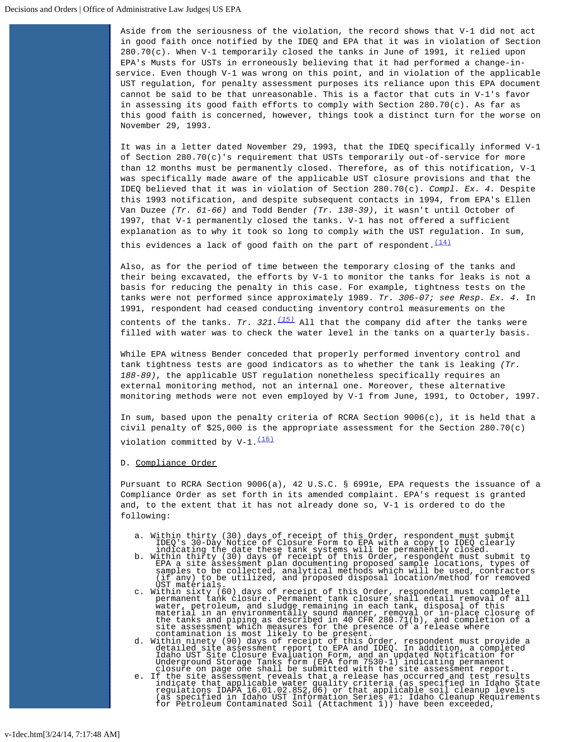Aside from the seriousness of the violation, the record shows that V-1 did not act in good faith once notified by the IDEQ and EPA that it was in violation of Section 280.70(c). When V-1 temporarily closed the tanks in June of 1991, it relied upon EPA's Musts for USTs in erroneously believing that it had performed a change-inservice. Even though V-1 was wrong on this point, and in violation of the applicable UST regulation, for penalty assessment purposes its reliance upon this EPA document cannot be said to be that unreasonable. This is a factor that cuts in V-1's favor in assessing its good faith efforts to comply with Section 280.70(c). As far as this good faith is concerned, however, things took a distinct turn for the worse on November 29, 1993.

It was in a letter dated November 29, 1993, that the IDEQ specifically informed V-1 of Section 280.70(c)'s requirement that USTs temporarily out-of-service for more than 12 months must be permanently closed. Therefore, as of this notification, V-1 was specifically made aware of the applicable UST closure provisions and that the IDEQ believed that it was in violation of Section 280.70(c). *Compl. Ex. 4.* Despite this 1993 notification, and despite subsequent contacts in 1994, from EPA's Ellen Van Duzee *(Tr. 61-66)* and Todd Bender *(Tr. 138-39)*, it wasn't until October of 1997, that V-1 permanently closed the tanks. V-1 has not offered a sufficient explanation as to why it took so long to comply with the UST regulation. In sum,

this evidences a lack of good faith on the part of respondent.  $(14)$ 

Also, as for the period of time between the temporary closing of the tanks and their being excavated, the efforts by V-1 to monitor the tanks for leaks is not a basis for reducing the penalty in this case. For example, tightness tests on the tanks were not performed since approximately 1989. *Tr. 306-07; see Resp. Ex. 4.* In 1991, respondent had ceased conducting inventory control measurements on the

 contents of the tanks. *Tr. 321.[\(15\)](#page-10-7)* All that the company did after the tanks were filled with water was to check the water level in the tanks on a quarterly basis.

While EPA witness Bender conceded that properly performed inventory control and tank tightness tests are good indicators as to whether the tank is leaking *(Tr. 188-89)*, the applicable UST regulation nonetheless specifically requires an external monitoring method, not an internal one. Moreover, these alternative monitoring methods were not even employed by V-1 from June, 1991, to October, 1997.

In sum, based upon the penalty criteria of RCRA Section 9006(c), it is held that a civil penalty of \$25,000 is the appropriate assessment for the Section 280.70(c) violation committed by  $V-1.\frac{(16)}{16}$  $V-1.\frac{(16)}{16}$  $V-1.\frac{(16)}{16}$ 

### D. Compliance Order

Pursuant to RCRA Section 9006(a), 42 U.S.C. § 6991e, EPA requests the issuance of a Compliance Order as set forth in its amended complaint. EPA's request is granted and, to the extent that it has not already done so, V-1 is ordered to do the following:

- 
- a. Within thirty (30) days of receipt of this Order, respondent must submit<br>IDEQ's 30-Day Notice of Closure Form to EPA with a copy to IDEQ clearly<br>indicating the date these tank systems will be permanently closed.<br>b. With
- UST materials.<br>
c. Within sixty (60) days of receipt of this Order, respondent must complete<br>
permanent tank closure shall entail removal of all<br>
water, petroleum, and sludge remaining in each tank, disposal of this<br>
mater
- 
- site assessment which measures for the presence of a release where<br>
d. Within ninety (90) days of receipt of this Order, respondent must provide a<br>
detailed site assessment report to EPA and IDEQ. In addition, a completed<br>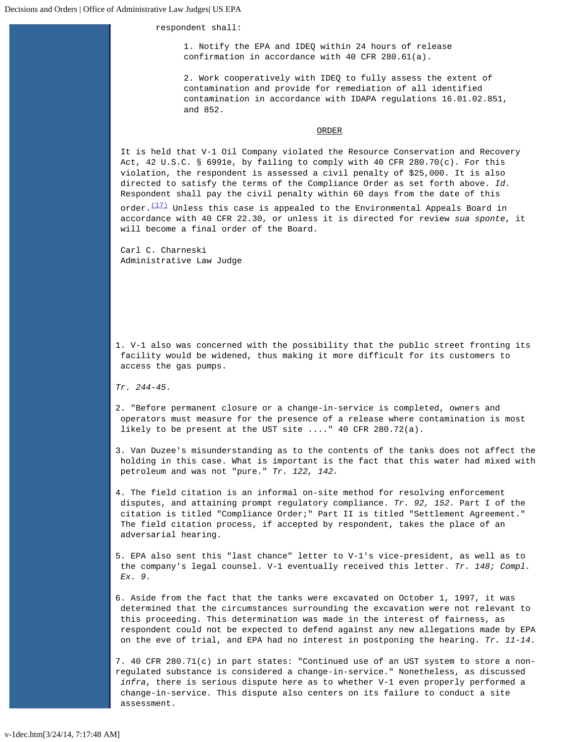respondent shall:

1. Notify the EPA and IDEQ within 24 hours of release confirmation in accordance with 40 CFR 280.61(a).

2. Work cooperatively with IDEQ to fully assess the extent of contamination and provide for remediation of all identified contamination in accordance with IDAPA regulations 16.01.02.851, and 852.

#### ORDER

It is held that V-1 Oil Company violated the Resource Conservation and Recovery Act, 42 U.S.C. § 6991e, by failing to comply with 40 CFR 280.70(c). For this violation, the respondent is assessed a civil penalty of \$25,000. It is also directed to satisfy the terms of the Compliance Order as set forth above. *Id.* Respondent shall pay the civil penalty within 60 days from the date of this

order. $(17)$  Unless this case is appealed to the Environmental Appeals Board in accordance with 40 CFR 22.30, or unless it is directed for review *sua sponte*, it will become a final order of the Board.

Carl C. Charneski Administrative Law Judge

<span id="page-9-0"></span>1. V-1 also was concerned with the possibility that the public street fronting its facility would be widened, thus making it more difficult for its customers to access the gas pumps.

*Tr. 244-45.*

<span id="page-9-1"></span>2. "Before permanent closure or a change-in-service is completed, owners and operators must measure for the presence of a release where contamination is most likely to be present at the UST site ...." 40 CFR 280.72(a).

<span id="page-9-2"></span>3. Van Duzee's misunderstanding as to the contents of the tanks does not affect the holding in this case. What is important is the fact that this water had mixed with petroleum and was not "pure." *Tr. 122, 142.*

<span id="page-9-3"></span>4. The field citation is an informal on-site method for resolving enforcement disputes, and attaining prompt regulatory compliance. *Tr. 92, 152.* Part I of the citation is titled "Compliance Order;" Part II is titled "Settlement Agreement." The field citation process, if accepted by respondent, takes the place of an adversarial hearing.

<span id="page-9-4"></span>5. EPA also sent this "last chance" letter to V-1's vice-president, as well as to the company's legal counsel. V-1 eventually received this letter. *Tr. 148; Compl. Ex. 9.*

<span id="page-9-5"></span>6. Aside from the fact that the tanks were excavated on October 1, 1997, it was determined that the circumstances surrounding the excavation were not relevant to this proceeding. This determination was made in the interest of fairness, as respondent could not be expected to defend against any new allegations made by EPA on the eve of trial, and EPA had no interest in postponing the hearing. *Tr. 11-14.*

<span id="page-9-6"></span>7. 40 CFR 280.71(c) in part states: "Continued use of an UST system to store a nonregulated substance is considered a change-in-service." Nonetheless, as discussed *infra*, there is serious dispute here as to whether V-1 even properly performed a change-in-service. This dispute also centers on its failure to conduct a site assessment.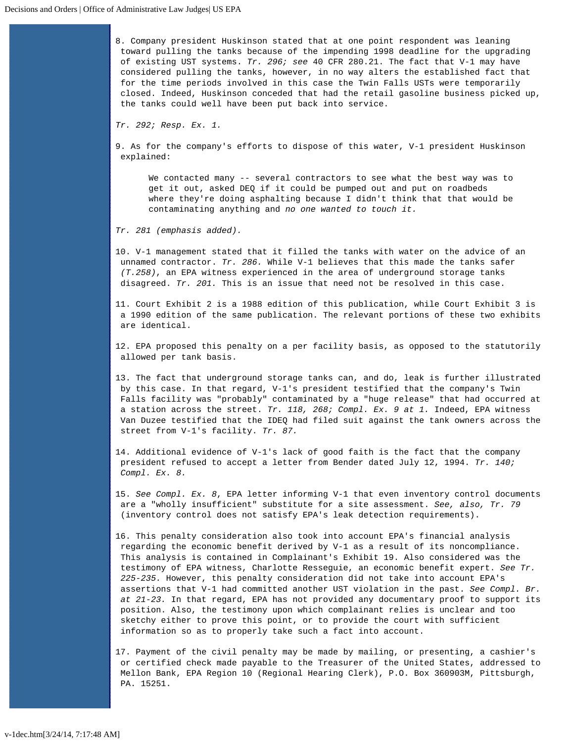<span id="page-10-0"></span>8. Company president Huskinson stated that at one point respondent was leaning toward pulling the tanks because of the impending 1998 deadline for the upgrading of existing UST systems. *Tr. 296; see* 40 CFR 280.21. The fact that V-1 may have considered pulling the tanks, however, in no way alters the established fact that for the time periods involved in this case the Twin Falls USTs were temporarily closed. Indeed, Huskinson conceded that had the retail gasoline business picked up, the tanks could well have been put back into service.

*Tr. 292; Resp. Ex. 1.*

<span id="page-10-1"></span>9. As for the company's efforts to dispose of this water, V-1 president Huskinson explained:

We contacted many -- several contractors to see what the best way was to get it out, asked DEQ if it could be pumped out and put on roadbeds where they're doing asphalting because I didn't think that that would be contaminating anything and *no one wanted to touch it.*

*Tr. 281 (emphasis added).*

<span id="page-10-2"></span>10. V-1 management stated that it filled the tanks with water on the advice of an unnamed contractor. *Tr. 286.* While V-1 believes that this made the tanks safer *(T.258)*, an EPA witness experienced in the area of underground storage tanks disagreed. *Tr. 201.* This is an issue that need not be resolved in this case.

<span id="page-10-3"></span>11. Court Exhibit 2 is a 1988 edition of this publication, while Court Exhibit 3 is a 1990 edition of the same publication. The relevant portions of these two exhibits are identical.

<span id="page-10-4"></span>12. EPA proposed this penalty on a per facility basis, as opposed to the statutorily allowed per tank basis.

<span id="page-10-5"></span>13. The fact that underground storage tanks can, and do, leak is further illustrated by this case. In that regard, V-1's president testified that the company's Twin Falls facility was "probably" contaminated by a "huge release" that had occurred at a station across the street. *Tr. 118, 268; Compl. Ex. 9 at 1.* Indeed, EPA witness Van Duzee testified that the IDEQ had filed suit against the tank owners across the street from V-1's facility. *Tr. 87.*

<span id="page-10-6"></span>14. Additional evidence of V-1's lack of good faith is the fact that the company president refused to accept a letter from Bender dated July 12, 1994. *Tr. 140; Compl. Ex. 8.*

<span id="page-10-7"></span>15. *See Compl. Ex. 8*, EPA letter informing V-1 that even inventory control documents are a "wholly insufficient" substitute for a site assessment. *See, also, Tr. 79* (inventory control does not satisfy EPA's leak detection requirements).

<span id="page-10-8"></span>16. This penalty consideration also took into account EPA's financial analysis regarding the economic benefit derived by V-1 as a result of its noncompliance. This analysis is contained in Complainant's Exhibit 19. Also considered was the testimony of EPA witness, Charlotte Resseguie, an economic benefit expert. *See Tr. 225-235.* However, this penalty consideration did not take into account EPA's assertions that V-1 had committed another UST violation in the past. *See Compl. Br. at 21-23.* In that regard, EPA has not provided any documentary proof to support its position. Also, the testimony upon which complainant relies is unclear and too sketchy either to prove this point, or to provide the court with sufficient information so as to properly take such a fact into account.

<span id="page-10-9"></span>17. Payment of the civil penalty may be made by mailing, or presenting, a cashier's or certified check made payable to the Treasurer of the United States, addressed to Mellon Bank, EPA Region 10 (Regional Hearing Clerk), P.O. Box 360903M, Pittsburgh, PA. 15251.